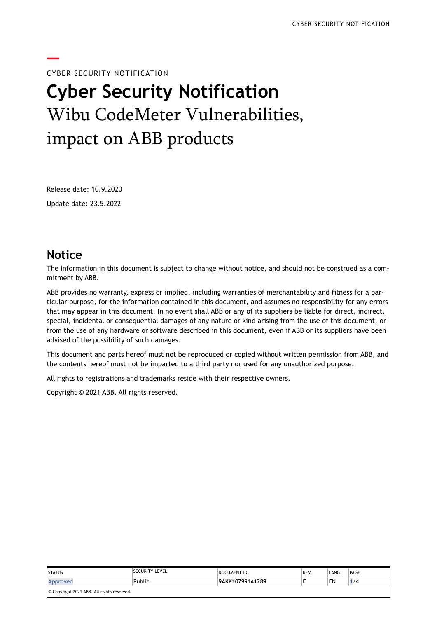# **—** CYBER SECURITY NOTIFICATION **Cyber Security Notification** Wibu CodeMeter Vulnerabilities, impact on ABB products

Release date: 10.9.2020

Update date: 23.5.2022

### **Notice**

The information in this document is subject to change without notice, and should not be construed as a commitment by ABB.

ABB provides no warranty, express or implied, including warranties of merchantability and fitness for a particular purpose, for the information contained in this document, and assumes no responsibility for any errors that may appear in this document. In no event shall ABB or any of its suppliers be liable for direct, indirect, special, incidental or consequential damages of any nature or kind arising from the use of this document, or from the use of any hardware or software described in this document, even if ABB or its suppliers have been advised of the possibility of such damages.

This document and parts hereof must not be reproduced or copied without written permission from ABB, and the contents hereof must not be imparted to a third party nor used for any unauthorized purpose.

All rights to registrations and trademarks reside with their respective owners.

Copyright © 2021 ABB. All rights reserved.

| <b>STATUS</b>                              | ISECURITY LEVEL | DOCUMENT ID.    | REV. | 'LANG. | PAGE |  |
|--------------------------------------------|-----------------|-----------------|------|--------|------|--|
| Approved                                   | Public          | 9AKK107991A1289 |      | EN     | /4   |  |
| © Copyright 2021 ABB. All rights reserved. |                 |                 |      |        |      |  |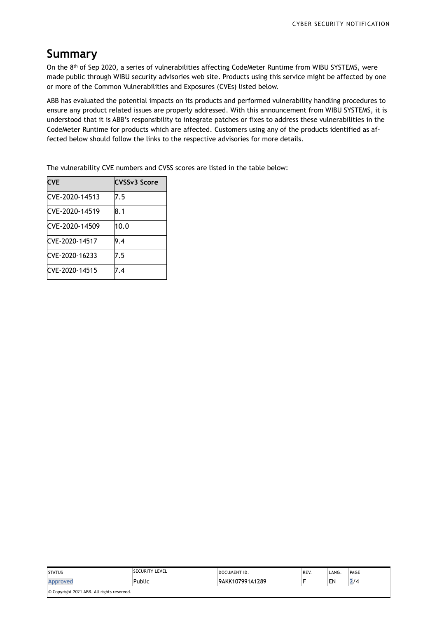## **Summary**

On the  $8^{\rm th}$  of Sep 2020, a series of vulnerabilities affecting CodeMeter Runtime from WIBU SYSTEMS, were made public through WIBU security advisories web site. Products using this service might be affected by one or more of the Common Vulnerabilities and Exposures (CVEs) listed below.

ABB has evaluated the potential impacts on its products and performed vulnerability handling procedures to ensure any product related issues are properly addressed. With this announcement from WIBU SYSTEMS, it is understood that it is ABB's responsibility to integrate patches or fixes to address these vulnerabilities in the CodeMeter Runtime for products which are affected. Customers using any of the products identified as affected below should follow the links to the respective advisories for more details.

| <b>CVE</b>      | CVSSv3 Score |
|-----------------|--------------|
| CVE-2020-14513  | 7.5          |
| ICVE-2020-14519 | 8.1          |
| CVE-2020-14509  | 10.0         |
| CVE-2020-14517  | 9.4          |
| CVE-2020-16233  | 7.5          |
| CVE-2020-14515  | 7.4          |

The vulnerability CVE numbers and CVSS scores are listed in the table below:

| <b>STATUS</b>                              | <b>SECURITY LEVEL</b> | DOCUMENT ID.    | REV. | 'LANG. | PAGE |  |
|--------------------------------------------|-----------------------|-----------------|------|--------|------|--|
| Approved                                   | Public                | 9AKK107991A1289 |      | EN     | 2/4  |  |
| © Copyright 2021 ABB. All rights reserved. |                       |                 |      |        |      |  |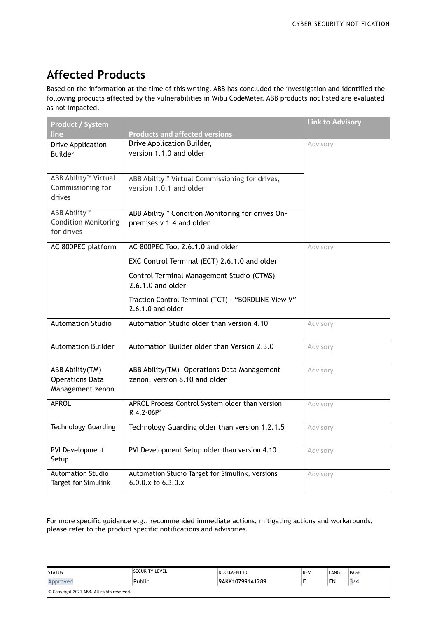# **Affected Products**

Based on the information at the time of this writing, ABB has concluded the investigation and identified the following products affected by the vulnerabilities in Wibu CodeMeter. ABB products not listed are evaluated as not impacted.

| <b>Product / System</b><br>line                                       | <b>Products and affected versions</b>                                                    | <b>Link to Advisory</b> |
|-----------------------------------------------------------------------|------------------------------------------------------------------------------------------|-------------------------|
| <b>Drive Application</b><br><b>Builder</b>                            | Drive Application Builder,<br>version 1.1.0 and older                                    | Advisory                |
| ABB Ability <sup>™</sup> Virtual<br>Commissioning for<br>drives       | ABB Ability <sup>™</sup> Virtual Commissioning for drives,<br>version 1.0.1 and older    |                         |
| ABB Ability <sup>™</sup><br><b>Condition Monitoring</b><br>for drives | ABB Ability <sup>™</sup> Condition Monitoring for drives On-<br>premises v 1.4 and older |                         |
| AC 800PEC platform                                                    | AC 800PEC Tool 2.6.1.0 and older                                                         | Advisory                |
|                                                                       | EXC Control Terminal (ECT) 2.6.1.0 and older                                             |                         |
|                                                                       | Control Terminal Management Studio (CTMS)<br>2.6.1.0 and older                           |                         |
|                                                                       | Traction Control Terminal (TCT) - "BORDLINE-View V"<br>$2.6.1.0$ and older               |                         |
| <b>Automation Studio</b>                                              | Automation Studio older than version 4.10                                                | Advisory                |
| <b>Automation Builder</b>                                             | Automation Builder older than Version 2.3.0                                              | Advisory                |
| ABB Ability(TM)<br><b>Operations Data</b><br>Management zenon         | ABB Ability(TM) Operations Data Management<br>zenon, version 8.10 and older              | Advisory                |
| <b>APROL</b>                                                          | APROL Process Control System older than version<br>R 4.2-06P1                            | Advisory                |
| <b>Technology Guarding</b>                                            | Technology Guarding older than version 1.2.1.5                                           | Advisory                |
| PVI Development<br>Setup                                              | PVI Development Setup older than version 4.10                                            | Advisory                |
| <b>Automation Studio</b><br>Target for Simulink                       | Automation Studio Target for Simulink, versions<br>6.0.0.x to 6.3.0.x                    | Advisory                |

For more specific guidance e.g., recommended immediate actions, mitigating actions and workarounds, please refer to the product specific notifications and advisories.

| <b>STATUS</b>                              | <b>ISECURITY LEVEL</b> | <b>DOCUMENT ID.</b> | REV. | LANG. | PAGE |  |
|--------------------------------------------|------------------------|---------------------|------|-------|------|--|
| Approved                                   | Public                 | 9AKK107991A1289     |      | EN    | 3/4  |  |
| © Copyright 2021 ABB. All rights reserved. |                        |                     |      |       |      |  |